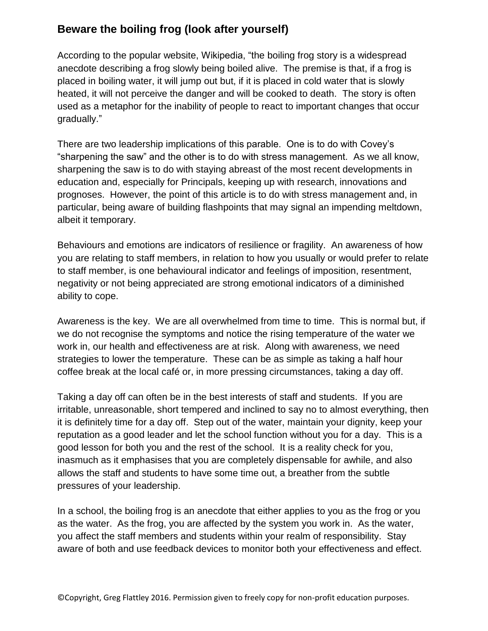## **Beware the boiling frog (look after yourself)**

According to the popular website, Wikipedia, "the boiling frog story is a widespread anecdote describing a frog slowly being boiled alive. The premise is that, if a frog is placed in boiling water, it will jump out but, if it is placed in cold water that is slowly heated, it will not perceive the danger and will be cooked to death. The story is often used as a metaphor for the inability of people to react to important changes that occur gradually."

There are two leadership implications of this parable. One is to do with Covey's "sharpening the saw" and the other is to do with stress management. As we all know, sharpening the saw is to do with staying abreast of the most recent developments in education and, especially for Principals, keeping up with research, innovations and prognoses. However, the point of this article is to do with stress management and, in particular, being aware of building flashpoints that may signal an impending meltdown, albeit it temporary.

Behaviours and emotions are indicators of resilience or fragility. An awareness of how you are relating to staff members, in relation to how you usually or would prefer to relate to staff member, is one behavioural indicator and feelings of imposition, resentment, negativity or not being appreciated are strong emotional indicators of a diminished ability to cope.

Awareness is the key. We are all overwhelmed from time to time. This is normal but, if we do not recognise the symptoms and notice the rising temperature of the water we work in, our health and effectiveness are at risk. Along with awareness, we need strategies to lower the temperature. These can be as simple as taking a half hour coffee break at the local café or, in more pressing circumstances, taking a day off.

Taking a day off can often be in the best interests of staff and students. If you are irritable, unreasonable, short tempered and inclined to say no to almost everything, then it is definitely time for a day off. Step out of the water, maintain your dignity, keep your reputation as a good leader and let the school function without you for a day. This is a good lesson for both you and the rest of the school. It is a reality check for you, inasmuch as it emphasises that you are completely dispensable for awhile, and also allows the staff and students to have some time out, a breather from the subtle pressures of your leadership.

In a school, the boiling frog is an anecdote that either applies to you as the frog or you as the water. As the frog, you are affected by the system you work in. As the water, you affect the staff members and students within your realm of responsibility. Stay aware of both and use feedback devices to monitor both your effectiveness and effect.